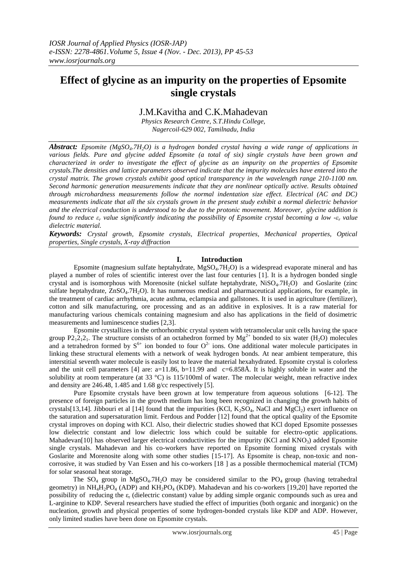# **Effect of glycine as an impurity on the properties of Epsomite single crystals**

# J.M.Kavitha and C.K.Mahadevan

*Physics Research Centre, S.T.Hindu College, Nagercoil-629 002, Tamilnadu, India*

*Abstract: Epsomite (MgSO4.7H2O) is a hydrogen bonded crystal having a wide range of applications in various fields. Pure and glycine added Epsomite (a total of six) single crystals have been grown and characterized in order to investigate the effect of glycine as an impurity on the properties of Epsomite crystals.The densities and lattice parameters observed indicate that the impurity molecules have entered into the crystal matrix. The grown crystals exhibit good optical transparency in the wavelength range 210-1100 nm. Second harmonic generation measurements indicate that they are nonlinear optically active. Results obtained through microhardness measurements follow the normal indentation size effect. Electrical (AC and DC) measurements indicate that all the six crystals grown in the present study exhibit a normal dielectric behavior and the electrical conduction is understood to be due to the protonic movement. Moreover, glycine addition is found to reduce ε<sup>r</sup> value significantly indicating the possibility of Epsomite crystal becoming a low -ε<sup>r</sup> value dielectric material.*

*Keywords: Crystal growth, Epsomite crystals, Electrical properties, Mechanical properties, Optical properties, Single crystals, X-ray diffraction*

# **I. Introduction**

Epsomite (magnesium sulfate heptahydrate,  $MgSO<sub>4</sub>$ .7H<sub>2</sub>O) is a widespread evaporate mineral and has played a number of roles of scientific interest over the last four centuries [1]. It is a hydrogen bonded single crystal and is isomorphous with Morenosite (nickel sulfate heptahydrate,  $Niso<sub>4</sub>$ .7H<sub>2</sub>O) and Goslarite (zinc sulfate heptahydrate, ZnSO<sub>4</sub>.7H<sub>2</sub>O). It has numerous medical and pharmaceutical applications, for example, in the treatment of cardiac arrhythmia, acute asthma, eclampsia and gallstones. It is used in agriculture (fertilizer), cotton and silk manufacturing, ore processing and as an additive in explosives. It is a raw material for manufacturing various chemicals containing magnesium and also has applications in the field of dosimetric measurements and luminescence studies [2,3].

Epsomite crystallizes in the orthorhombic crystal system with tetramolecular unit cells having the space group P2<sub>1</sub>2<sub>1</sub>2<sub>1</sub>. The structure consists of an octahedron formed by  $Mg^{2+}$  bonded to six water (H<sub>2</sub>O) molecules and a tetrahedron formed by  $S^{6+}$  ion bonded to four  $O^{2-}$  ions. One additional water molecule participates in linking these structural elements with a network of weak hydrogen bonds. At near ambient temperature, this interstitial seventh water molecule is easily lost to leave the material hexahydrated. Epsomite crystal is colorless and the unit cell parameters [4] are:  $a=11.86$ ,  $b=11.99$  and  $c=6.858\text{\AA}$ . It is highly soluble in water and the solubility at room temperature (at 33 °C) is 115/100ml of water. The molecular weight, mean refractive index and density are 246.48, 1.485 and 1.68 g/cc respectively [5].

Pure Epsomite crystals have been grown at low temperature from aqueous solutions [6-12]. The presence of foreign particles in the growth medium has long been recognized in changing the growth habits of crystals[13,14]. Jibbouri et al [14] found that the impurities (KCl,  $K_2SO_4$ , NaCl and  $MgCl_2$ ) exert influence on the saturation and supersaturation limit. Ferdous and Podder [12] found that the optical quality of the Epsomite crystal improves on doping with KCl. Also, their dielectric studies showed that KCl doped Epsomite possesses low dielectric constant and low dielectric loss which could be suitable for electro-optic applications. Mahadevan[10] has observed larger electrical conductivities for the impurity (KCl and  $KNO<sub>3</sub>$ ) added Epsomite single crystals. Mahadevan and his co-workers have reported on Epsomite forming mixed crystals with Goslarite and Morenosite along with some other studies [15-17]. As Epsomite is cheap, non-toxic and noncorrosive, it was studied by Van Essen and his co-workers [18 ] as a possible thermochemical material (TCM) for solar seasonal heat storage.

The  $SO_4$  group in Mg $SO_4$ .7H<sub>2</sub>O may be considered similar to the  $PO_4$  group (having tetrahedral geometry) in  $NH_4H_2PO_4$  (ADP) and  $KH_2PO_4$  (KDP). Mahadevan and his co-workers [19,20] have reported the possibility of reducing the  $\varepsilon_r$  (dielectric constant) value by adding simple organic compounds such as urea and L-arginine to KDP. Several researchers have studied the effect of impurities (both organic and inorganic) on the nucleation, growth and physical properties of some hydrogen-bonded crystals like KDP and ADP. However, only limited studies have been done on Epsomite crystals.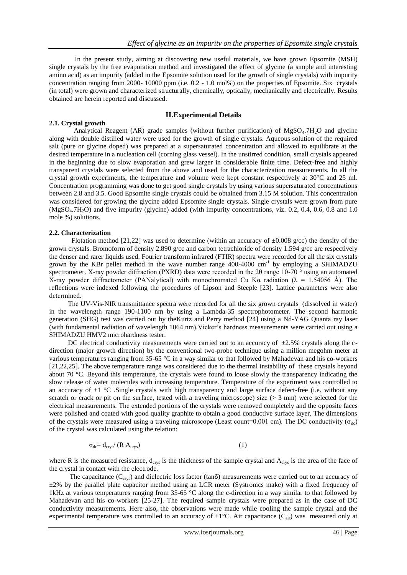In the present study, aiming at discovering new useful materials, we have grown Epsomite (MSH) single crystals by the free evaporation method and investigated the effect of glycine (a simple and interesting amino acid) as an impurity (added in the Epsomite solution used for the growth of single crystals) with impurity concentration ranging from 2000- 10000 ppm (i.e. 0.2 - 1.0 mol%) on the properties of Epsomite. Six crystals (in total) were grown and characterized structurally, chemically, optically, mechanically and electrically. Results obtained are herein reported and discussed.

### **II.Experimental Details**

## **2.1. Crystal growth**

Analytical Reagent (AR) grade samples (without further purification) of MgSO<sub>4</sub>.7H<sub>2</sub>O and glycine along with double distilled water were used for the growth of single crystals. Aqueous solution of the required salt (pure or glycine doped) was prepared at a supersaturated concentration and allowed to equilibrate at the desired temperature in a nucleation cell (corning glass vessel). In the unstirred condition, small crystals appeared in the beginning due to slow evaporation and grew larger in considerable finite time. Defect-free and highly transparent crystals were selected from the above and used for the characterization measurements. In all the crystal growth experiments, the temperature and volume were kept constant respectively at 30°C and 25 ml. Concentration programming was done to get good single crystals by using various supersaturated concentrations between 2.8 and 3.5. Good Epsomite single crystals could be obtained from 3.15 M solution. This concentration was considered for growing the glycine added Epsomite single crystals. Single crystals were grown from pure (MgSO4.7H2O) and five impurity (glycine) added (with impurity concentrations, viz. 0.2, 0.4, 0.6, 0.8 and 1.0 mole %) solutions.

#### **2.2. Characterization**

Flotation method [21,22] was used to determine (within an accuracy of  $\pm 0.008$  g/cc) the density of the grown crystals. Bromoform of density 2.890 g/cc and carbon tetrachloride of density 1.594 g/cc are respectively the denser and rarer liquids used. Fourier transform infrared (FTIR) spectra were recorded for all the six crystals grown by the KBr pellet method in the wave number range  $400-4000$  cm<sup>-1</sup> by employing a SHIMADZU spectrometer. X-ray powder diffraction (PXRD) data were recorded in the 2θ range 10-70 ° using an automated X-ray powder diffractometer (PANalytical) with monochromated Cu K $\alpha$  radiation ( $\lambda$  = 1.54056 Å). The reflections were indexed following the procedures of Lipson and Steeple [23]. Lattice parameters were also determined.

 The UV-Vis-NIR transmittance spectra were recorded for all the six grown crystals (dissolved in water) in the wavelength range 190-1100 nm by using a Lambda-35 spectrophotometer. The second harmonic generation (SHG) test was carried out by theKurtz and Perry method [24] using a Nd-YAG Quanta ray laser (with fundamental radiation of wavelength 1064 nm).Vicker's hardness measurements were carried out using a SHIMADZU HMV2 microhardness tester.

DC electrical conductivity measurements were carried out to an accuracy of  $\pm 2.5\%$  crystals along the cdirection (major growth direction) by the conventional two-probe technique using a million megohm meter at various temperatures ranging from 35-65 °C in a way similar to that followed by Mahadevan and his co-workers [21,22,25]. The above temperature range was considered due to the thermal instability of these crystals beyond about 70 °C. Beyond this temperature, the crystals were found to loose slowly the transparency indicating the slow release of water molecules with increasing temperature. Temperature of the experiment was controlled to an accuracy of  $\pm 1$  °C. Single crystals with high transparency and large surface defect-free (i.e. without any scratch or crack or pit on the surface, tested with a traveling microscope) size ( $>$  3 mm) were selected for the electrical measurements. The extended portions of the crystals were removed completely and the opposite faces were polished and coated with good quality graphite to obtain a good conductive surface layer. The dimensions of the crystals were measured using a traveling microscope (Least count=0.001 cm). The DC conductivity (σ<sub>dc</sub>) of the crystal was calculated using the relation:

$$
\sigma_{dc} = d_{\text{crys}} / (R A_{\text{crys}}) \tag{1}
$$

where R is the measured resistance,  $d_{\text{crys}}$  is the thickness of the sample crystal and  $A_{\text{crys}}$  is the area of the face of the crystal in contact with the electrode.

The capacitance ( $C_{\text{crys}}$ ) and dielectric loss factor (tan $\delta$ ) measurements were carried out to an accuracy of  $\pm$ 2% by the parallel plate capacitor method using an LCR meter (Systronics make) with a fixed frequency of 1kHz at various temperatures ranging from 35-65 °C along the c-direction in a way similar to that followed by Mahadevan and his co-workers [25-27]. The required sample crystals were prepared as in the case of DC conductivity measurements. Here also, the observations were made while cooling the sample crystal and the experimental temperature was controlled to an accuracy of  $\pm 1^{\circ}C$ . Air capacitance ( $C_{air}$ ) was measured only at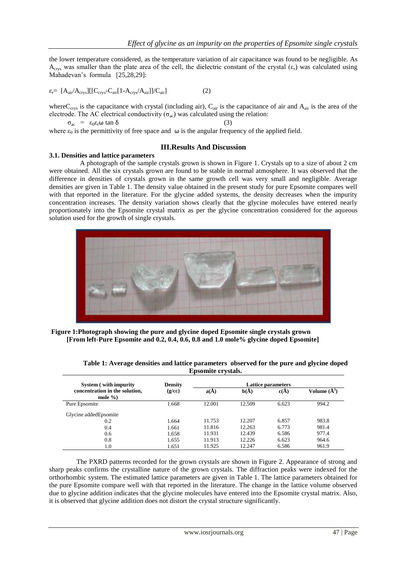the lower temperature considered, as the temperature variation of air capacitance was found to be negligible. As  $A<sub>crys</sub>$  was smaller than the plate area of the cell, the dielectric constant of the crystal  $(\varepsilon_r)$  was calculated using Mahadevan's formula [25,28,29]:

$$
\varepsilon_r = [A_{air}/A_{crys}][[C_{crys} - C_{air}[1 - A_{crys}/A_{air}]]/C_{air}] \qquad (2)
$$

where C<sub>crys</sub> is the capacitance with crystal (including air), C<sub>air</sub> is the capacitance of air and  $A_{air}$  is the area of the electrode. The AC electrical conductivity  $(\sigma_{ac})$  was calculated using the relation:

 $\sigma_{ac} = \varepsilon_0 \varepsilon_r \omega \tan \delta$  (3) where  $\varepsilon_0$  is the permittivity of free space and  $\omega$  is the angular frequency of the applied field.

# **III.Results And Discussion**

#### **3.1. Densities and lattice parameters**

 A photograph of the sample crystals grown is shown in Figure 1. Crystals up to a size of about 2 cm were obtained. All the six crystals grown are found to be stable in normal atmosphere. It was observed that the difference in densities of crystals grown in the same growth cell was very small and negligible. Average densities are given in Table 1. The density value obtained in the present study for pure Epsomite compares well with that reported in the literature. For the glycine added systems, the density decreases when the impurity concentration increases. The density variation shows clearly that the glycine molecules have entered nearly proportionately into the Epsomite crystal matrix as per the glycine concentration considered for the aqueous solution used for the growth of single crystals.



 **Figure 1:Photograph showing the pure and glycine doped Epsomite single crystals grown [From left-Pure Epsomite and 0.2, 0.4, 0.6, 0.8 and 1.0 mole% glycine doped Epsomite]**

| <b>System</b> (with impurity                  | <b>Density</b><br>(g/cc) | Lattice parameters |        |       |                  |
|-----------------------------------------------|--------------------------|--------------------|--------|-------|------------------|
| concentration in the solution,<br>mole $\%$ ) |                          | a(A)               | b(A)   | c(A)  | Volume $(\AA^3)$ |
| Pure Epsomite                                 | 1.668                    | 12.001             | 12.509 | 6.623 | 994.2            |
| Glycine added Epsomite                        |                          |                    |        |       |                  |
| 0.2                                           | 1.664                    | 11.753             | 12.207 | 6.857 | 983.8            |
| 0.4                                           | 1.661                    | 11.816             | 12.263 | 6.773 | 981.4            |
| 0.6                                           | 1.658                    | 11.931             | 12.439 | 6.586 | 977.4            |
| 0.8                                           | 1.655                    | 11.913             | 12.226 | 6.623 | 964.6            |
| 1.0                                           | 1.651                    | 11.925             | 12.247 | 6.586 | 961.9            |

**Table 1: Average densities and lattice parameters observed for the pure and glycine doped Epsomite crystals.**

 The PXRD patterns recorded for the grown crystals are shown in Figure 2. Appearance of strong and sharp peaks confirms the crystalline nature of the grown crystals. The diffraction peaks were indexed for the orthorhombic system. The estimated lattice parameters are given in Table 1. The lattice parameters obtained for the pure Epsomite compare well with that reported in the literature. The change in the lattice volume observed due to glycine addition indicates that the glycine molecules have entered into the Epsomite crystal matrix. Also, it is observed that glycine addition does not distort the crystal structure significantly.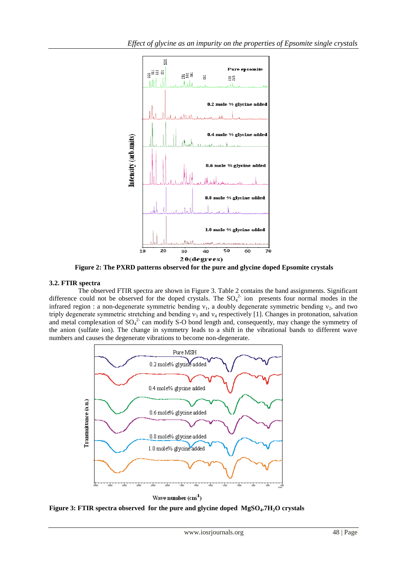

 **Figure 2: The PXRD patterns observed for the pure and glycine doped Epsomite crystals**

# **3.2. FTIR spectra**

 The observed FTIR spectra are shown in Figure 3. Table 2 contains the band assignments. Significant difference could not be observed for the doped crystals. The  $SO_4^2$  ion presents four normal modes in the infrared region : a non-degenerate symmetric bending  $v_1$ , a doubly degenerate symmetric bending  $v_2$ , and two triply degenerate symmetric stretching and bending  $v_3$  and  $v_4$  respectively [1]. Changes in protonation, salvation and metal complexation of  $SO_4^2$  can modify S-O bond length and, consequently, may change the symmetry of the anion (sulfate ion). The change in symmetry leads to a shift in the vibrational bands to different wave numbers and causes the degenerate vibrations to become non-degenerate.



Wave number  $(cm<sup>1</sup>)$ 

**Figure 3: FTIR spectra observed for the pure and glycine doped MgSO4.7H2O crystals**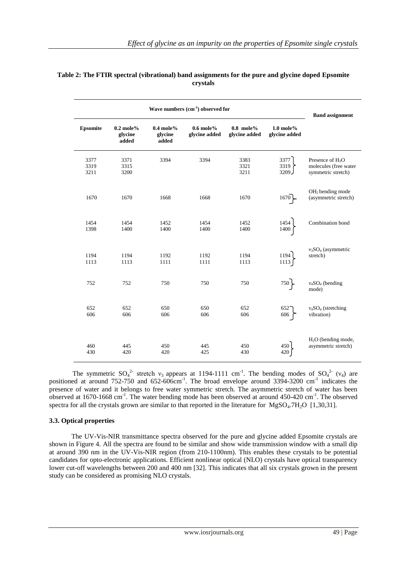| Wave numbers (cm <sup>-1</sup> ) observed for |                                 |                                 |                              |                              |                              | <b>Band assignment</b>                                            |
|-----------------------------------------------|---------------------------------|---------------------------------|------------------------------|------------------------------|------------------------------|-------------------------------------------------------------------|
| <b>Epsomite</b>                               | $0.2$ mole%<br>glycine<br>added | $0.4$ mole%<br>glycine<br>added | $0.6$ mole%<br>glycine added | $0.8$ mole%<br>glycine added | $1.0$ mole%<br>glycine added |                                                                   |
| 3377<br>3319<br>3211                          | 3371<br>3315<br>3200            | 3394                            | 3394                         | 3383<br>3321<br>3211         | 3377<br>3319<br>3209.        | Presence of $H_2O$<br>molecules (free water<br>symmetric stretch) |
| 1670                                          | 1670                            | 1668                            | 1668                         | 1670                         | 1670                         | OH <sub>2</sub> bending mode<br>(asymmetric stretch)              |
| 1454<br>1398                                  | 1454<br>1400                    | 1452<br>1400                    | 1454<br>1400                 | 1452<br>1400                 | 1454<br>1400                 | Combination bond                                                  |
| 1194<br>1113                                  | 1194<br>1113                    | 1192<br>1111                    | 1192<br>1111                 | 1194<br>1113                 | 1194<br>1113                 | $v_3SO_4$ (asymmetric<br>stretch)                                 |
| 752                                           | 752                             | 750                             | 750                          | 750                          | $750\}$                      | $v_4SO_4$ (bending<br>mode)                                       |
| 652<br>606                                    | 652<br>606                      | 650<br>606                      | 650<br>606                   | 652<br>606                   | 652<br>606                   | $v_4SO_4$ (stretching<br>vibration)                               |
| 460<br>430                                    | 445<br>420                      | 450<br>420                      | 445<br>425                   | 450<br>430                   | 450<br>420                   | $H2O$ (bending mode,<br>asymmetric stretch)                       |

# **Table 2: The FTIR spectral (vibrational) band assignments for the pure and glycine doped Epsomite crystals**

The symmetric  $SO_4^2$  stretch  $v_3$  appears at 1194-1111 cm<sup>-1</sup>. The bending modes of  $SO_4^2$  ( $v_4$ ) are positioned at around  $752-750$  and  $652-606$ cm<sup>-1</sup>. The broad envelope around  $3394-3200$  cm<sup>-1</sup> indicates the presence of water and it belongs to free water symmetric stretch. The asymmetric stretch of water has been observed at 1670-1668 cm<sup>-1</sup>. The water bending mode has been observed at around 450-420 cm<sup>-1</sup>. The observed spectra for all the crystals grown are similar to that reported in the literature for  $MgSO_4.7H_2O$  [1,30,31].

# **3.3. Optical properties**

 The UV-Vis-NIR transmittance spectra observed for the pure and glycine added Epsomite crystals are shown in Figure 4. All the spectra are found to be similar and show wide transmission window with a small dip at around 390 nm in the UV-Vis-NIR region (from 210-1100nm). This enables these crystals to be potential candidates for opto-electronic applications. Efficient nonlinear optical (NLO) crystals have optical transparency lower cut-off wavelengths between 200 and 400 nm [32]. This indicates that all six crystals grown in the present study can be considered as promising NLO crystals.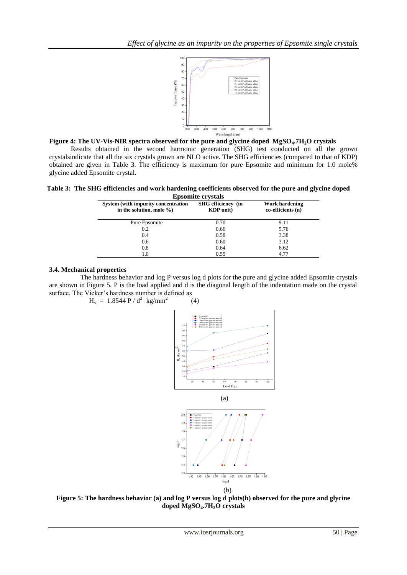

**Figure 4: The UV-Vis-NIR spectra observed for the pure and glycine doped MgSO4.7H2O crystals** 

Results obtained in the second harmonic generation (SHG) test conducted on all the grown crystalsindicate that all the six crystals grown are NLO active. The SHG efficiencies (compared to that of KDP) obtained are given in Table 3. The efficiency is maximum for pure Epsomite and minimum for 1.0 mole% glycine added Epsomite crystal.

**Table 3: The SHG efficiencies and work hardening coefficients observed for the pure and glycine doped Epsomite crystals**

| прэдник сгузинэ                               |                                            |  |  |  |  |  |
|-----------------------------------------------|--------------------------------------------|--|--|--|--|--|
| <b>SHG</b> efficiency (in<br><b>KDP</b> unit) | <b>Work hardening</b><br>co-efficients (n) |  |  |  |  |  |
| 0.70                                          | 9.11                                       |  |  |  |  |  |
| 0.66                                          | 5.76                                       |  |  |  |  |  |
| 0.58                                          | 3.38                                       |  |  |  |  |  |
| 0.60                                          | 3.12                                       |  |  |  |  |  |
| 0.64                                          | 6.62                                       |  |  |  |  |  |
| 0.55                                          | 4.77                                       |  |  |  |  |  |
|                                               |                                            |  |  |  |  |  |

### **3.4. Mechanical properties**

 The hardness behavior and log P versus log d plots for the pure and glycine added Epsomite crystals are shown in Figure 5. P is the load applied and d is the diagonal length of the indentation made on the crystal surface. The Vicker's hardness number is defined as

 $H_v = 1.8544 P / d^2$  kg/mm<sup>2</sup>

$$
(4)
$$



**Figure 5: The hardness behavior (a) and log P versus log d plots(b) observed for the pure and glycine doped MgSO4.7H2O crystals**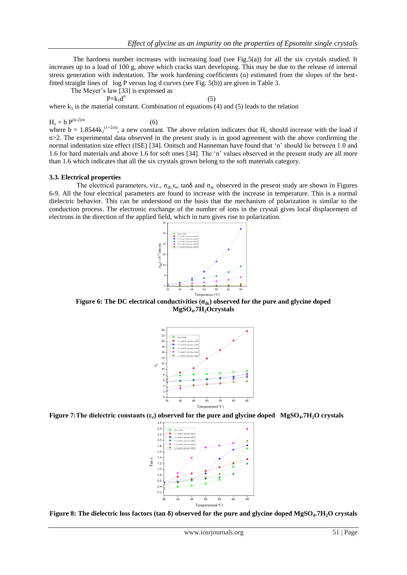The hardness number increases with increasing load (see Fig.5(a)) for all the six crystals studied. It increases up to a load of 100 g, above which cracks start developing. This may be due to the release of internal stress generation with indentation. The work hardening coefficients (n) estimated from the slopes of the bestfitted straight lines of log P versus log d curves (see Fig. 5(b)) are given in Table 3.

The Meyer's law [33] is expressed as

$$
P=k_1d^n\tag{5}
$$

where  $k_1$  is the material constant. Combination of equations (4) and (5) leads to the relation

$$
H_v = b P^{(n-2)/n}
$$
 (6)

where  $b = 1.8544k_1^{(1+2/n)}$ , a new constant. The above relation indicates that H<sub>v</sub> should increase with the load if n>2. The experimental data observed in the present study is in good agreement with the above confirming the normal indentation size effect (ISE) [34]. Onitsch and Hanneman have found that 'n' should lie between 1.0 and 1.6 for hard materials and above 1.6 for soft ones [34]. The 'n' values observed in the present study are all more than 1.6 which indicates that all the six crystals grown belong to the soft materials category.

#### **3.3. Electrical properties**

The electrical parameters, viz.,  $\sigma_{dc} \varepsilon_r$ , tan $\delta$  and  $\sigma_{ac}$  observed in the present study are shown in Figures 6-9. All the four electrical parameters are found to increase with the increase in temperature. This is a normal dielectric behavior. This can be understood on the basis that the mechanism of polarization is similar to the conduction process. The electronic exchange of the number of ions in the crystal gives local displacement of electrons in the direction of the applied field, which in turn gives rise to polarization.



**Figure 6: The DC electrical conductivities (σdc) observed for the pure and glycine doped MgSO4.7H2Ocrystals**



**Figure 7:The dielectric constants (εr) observed for the pure and glycine doped MgSO4.7H2O crystals**



**Figure 8: The dielectric loss factors (tan δ) observed for the pure and glycine doped MgSO4.7H2O crystals**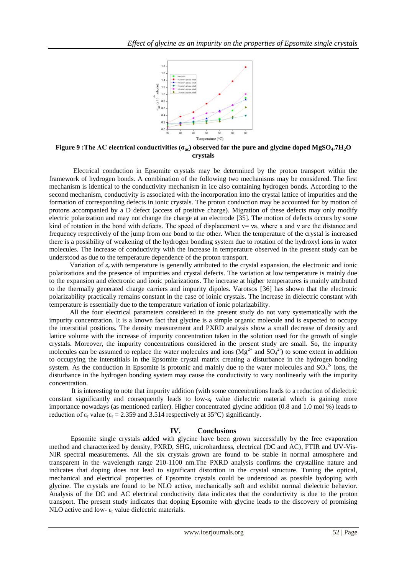

**Figure 9 :The AC electrical conductivities (σac) observed for the pure and glycine doped MgSO4.7H2O crystals**

 Electrical conduction in Epsomite crystals may be determined by the proton transport within the framework of hydrogen bonds. A combination of the following two mechanisms may be considered. The first mechanism is identical to the conductivity mechanism in ice also containing hydrogen bonds. According to the second mechanism, conductivity is associated with the incorporation into the crystal lattice of impurities and the formation of corresponding defects in ionic crystals. The proton conduction may be accounted for by motion of protons accompanied by a D defect (access of positive charge). Migration of these defects may only modify electric polarization and may not change the charge at an electrode [35]. The motion of defects occurs by some kind of rotation in the bond with defects. The speed of displacement  $v = va$ , where a and v are the distance and frequency respectively of the jump from one bond to the other. When the temperature of the crystal is increased there is a possibility of weakening of the hydrogen bonding system due to rotation of the hydroxyl ions in water molecules. The increase of conductivity with the increase in temperature observed in the present study can be understood as due to the temperature dependence of the proton transport.

Variation of  $\varepsilon_r$  with temperature is generally attributed to the crystal expansion, the electronic and ionic polarizations and the presence of impurities and crystal defects. The variation at low temperature is mainly due to the expansion and electronic and ionic polarizations. The increase at higher temperatures is mainly attributed to the thermally generated charge carriers and impurity dipoles. Varotsos [36] has shown that the electronic polarizability practically remains constant in the case of ioinic crystals. The increase in dielectric constant with temperature is essentially due to the temperature variation of ionic polarizability.

 All the four electrical parameters considered in the present study do not vary systematically with the impurity concentration. It is a known fact that glycine is a simple organic molecule and is expected to occupy the interstitial positions. The density measurement and PXRD analysis show a small decrease of density and lattice volume with the increase of impurity concentration taken in the solution used for the growth of single crystals. Moreover, the impurity concentrations considered in the present study are small. So, the impurity molecules can be assumed to replace the water molecules and ions  $(Mg^{2+})$  and  $SO_4^2$ ) to some extent in addition to occupying the interstitials in the Epsomite crystal matrix creating a disturbance in the hydrogen bonding system. As the conduction in Epsomite is protonic and mainly due to the water molecules and  $SO_4^2$  ions, the disturbance in the hydrogen bonding system may cause the conductivity to vary nonlinearly with the impurity concentration.

 It is interesting to note that impurity addition (with some concentrations leads to a reduction of dielectric constant significantly and consequently leads to low- $\varepsilon_r$  value dielectric material which is gaining more importance nowadays (as mentioned earlier). Higher concentrated glycine addition (0.8 and 1.0 mol %) leads to reduction of  $\varepsilon_r$  value ( $\varepsilon_r$  = 2.359 and 3.514 respectively at 35°C) significantly.

#### **IV. Conclusions**

Epsomite single crystals added with glycine have been grown successfully by the free evaporation method and characterized by density, PXRD, SHG, microhardness, electrical (DC and AC), FTIR and UV-Vis-NIR spectral measurements. All the six crystals grown are found to be stable in normal atmosphere and transparent in the wavelength range 210-1100 nm.The PXRD analysis confirms the crystalline nature and indicates that doping does not lead to significant distortion in the crystal structure. Tuning the optical, mechanical and electrical properties of Epsomite crystals could be understood as possible bydoping with glycine. The crystals are found to be NLO active, mechanically soft and exhibit normal dielectric behavior. Analysis of the DC and AC electrical conductivity data indicates that the conductivity is due to the proton transport. The present study indicates that doping Epsomite with glycine leads to the discovery of promising NLO active and low- $\varepsilon_r$  value dielectric materials.